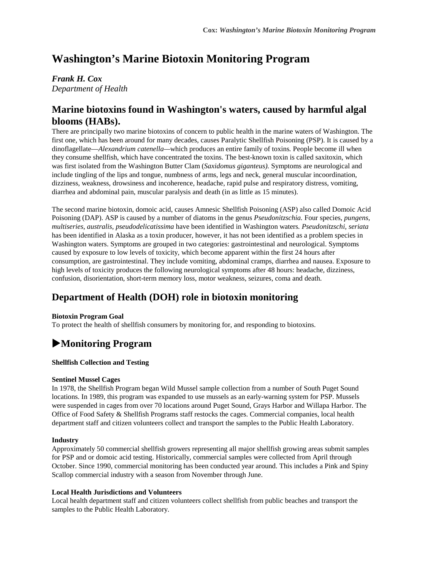# **Washington's Marine Biotoxin Monitoring Program**

## *Frank H. Cox*

*Department of Health* 

## **Marine biotoxins found in Washington's waters, caused by harmful algal blooms (HABs).**

There are principally two marine biotoxins of concern to public health in the marine waters of Washington. The first one, which has been around for many decades, causes Paralytic Shellfish Poisoning (PSP). It is caused by a dinoflagellate—*Alexandrium catenella—*which produces an entire family of toxins*.* People become ill when they consume shellfish, which have concentrated the toxins. The best-known toxin is called saxitoxin, which was first isolated from the Washington Butter Clam (*Saxidomus giganteus).* Symptoms are neurological and include tingling of the lips and tongue, numbness of arms, legs and neck, general muscular incoordination, dizziness, weakness, drowsiness and incoherence, headache, rapid pulse and respiratory distress, vomiting, diarrhea and abdominal pain, muscular paralysis and death (in as little as 15 minutes).

The second marine biotoxin, domoic acid, causes Amnesic Shellfish Poisoning (ASP) also called Domoic Acid Poisoning (DAP). ASP is caused by a number of diatoms in the genus *Pseudonitzschia.* Four species, *pungens, multiseries, australis, pseudodelicatissima* have been identified in Washington waters*. Pseudonitzschi, seriata* has been identified in Alaska as a toxin producer, however, it has not been identified as a problem species in Washington waters. Symptoms are grouped in two categories: gastrointestinal and neurological. Symptoms caused by exposure to low levels of toxicity, which become apparent within the first 24 hours after consumption, are gastrointestinal. They include vomiting, abdominal cramps, diarrhea and nausea. Exposure to high levels of toxicity produces the following neurological symptoms after 48 hours: headache, dizziness, confusion, disorientation, short-term memory loss, motor weakness, seizures, coma and death.

# **Department of Health (DOH) role in biotoxin monitoring**

## **Biotoxin Program Goal**

To protect the health of shellfish consumers by monitoring for, and responding to biotoxins.

# !**Monitoring Program**

## **Shellfish Collection and Testing**

### **Sentinel Mussel Cages**

In 1978, the Shellfish Program began Wild Mussel sample collection from a number of South Puget Sound locations. In 1989, this program was expanded to use mussels as an early-warning system for PSP. Mussels were suspended in cages from over 70 locations around Puget Sound, Grays Harbor and Willapa Harbor. The Office of Food Safety & Shellfish Programs staff restocks the cages. Commercial companies, local health department staff and citizen volunteers collect and transport the samples to the Public Health Laboratory.

### **Industry**

Approximately 50 commercial shellfish growers representing all major shellfish growing areas submit samples for PSP and or domoic acid testing. Historically, commercial samples were collected from April through October. Since 1990, commercial monitoring has been conducted year around. This includes a Pink and Spiny Scallop commercial industry with a season from November through June.

### **Local Health Jurisdictions and Volunteers**

Local health department staff and citizen volunteers collect shellfish from public beaches and transport the samples to the Public Health Laboratory.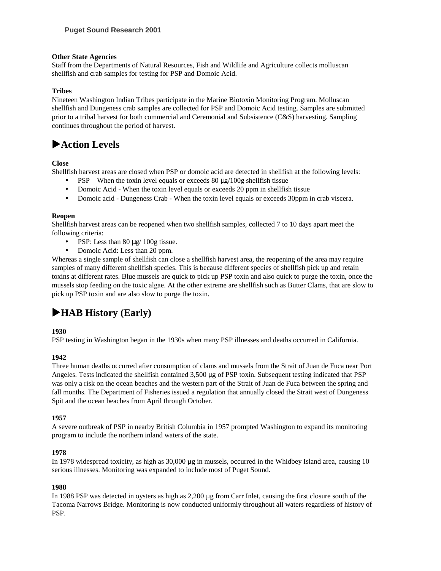### **Other State Agencies**

Staff from the Departments of Natural Resources, Fish and Wildlife and Agriculture collects molluscan shellfish and crab samples for testing for PSP and Domoic Acid.

### **Tribes**

Nineteen Washington Indian Tribes participate in the Marine Biotoxin Monitoring Program. Molluscan shellfish and Dungeness crab samples are collected for PSP and Domoic Acid testing. Samples are submitted prior to a tribal harvest for both commercial and Ceremonial and Subsistence (C&S) harvesting. Sampling continues throughout the period of harvest.

# !**Action Levels**

### **Close**

Shellfish harvest areas are closed when PSP or domoic acid are detected in shellfish at the following levels:

- PSP When the toxin level equals or exceeds  $80 \mu g/100g$  shellfish tissue
- Domoic Acid When the toxin level equals or exceeds 20 ppm in shellfish tissue
- Domoic acid Dungeness Crab When the toxin level equals or exceeds 30ppm in crab viscera.

### **Reopen**

Shellfish harvest areas can be reopened when two shellfish samples, collected 7 to 10 days apart meet the following criteria:

- PSP: Less than 80 µg/ 100g tissue.
- Domoic Acid: Less than 20 ppm.

Whereas a single sample of shellfish can close a shellfish harvest area, the reopening of the area may require samples of many different shellfish species. This is because different species of shellfish pick up and retain toxins at different rates. Blue mussels are quick to pick up PSP toxin and also quick to purge the toxin, once the mussels stop feeding on the toxic algae. At the other extreme are shellfish such as Butter Clams, that are slow to pick up PSP toxin and are also slow to purge the toxin.

# !**HAB History (Early)**

### **1930**

PSP testing in Washington began in the 1930s when many PSP illnesses and deaths occurred in California.

## **1942**

Three human deaths occurred after consumption of clams and mussels from the Strait of Juan de Fuca near Port Angeles. Tests indicated the shellfish contained 3,500 µg of PSP toxin. Subsequent testing indicated that PSP was only a risk on the ocean beaches and the western part of the Strait of Juan de Fuca between the spring and fall months. The Department of Fisheries issued a regulation that annually closed the Strait west of Dungeness Spit and the ocean beaches from April through October.

### **1957**

A severe outbreak of PSP in nearby British Columbia in 1957 prompted Washington to expand its monitoring program to include the northern inland waters of the state.

### **1978**

In 1978 widespread toxicity, as high as 30,000 µg in mussels, occurred in the Whidbey Island area, causing 10 serious illnesses. Monitoring was expanded to include most of Puget Sound.

### **1988**

In 1988 PSP was detected in oysters as high as 2,200 µg from Carr Inlet, causing the first closure south of the Tacoma Narrows Bridge. Monitoring is now conducted uniformly throughout all waters regardless of history of PSP.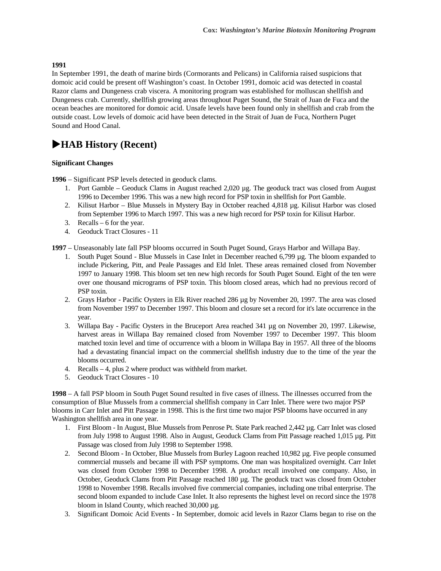### **1991**

In September 1991, the death of marine birds (Cormorants and Pelicans) in California raised suspicions that domoic acid could be present off Washington's coast. In October 1991, domoic acid was detected in coastal Razor clams and Dungeness crab viscera. A monitoring program was established for molluscan shellfish and Dungeness crab. Currently, shellfish growing areas throughout Puget Sound, the Strait of Juan de Fuca and the ocean beaches are monitored for domoic acid. Unsafe levels have been found only in shellfish and crab from the outside coast. Low levels of domoic acid have been detected in the Strait of Juan de Fuca, Northern Puget Sound and Hood Canal.

## !**HAB History (Recent)**

### **Significant Changes**

**1996** – Significant PSP levels detected in geoduck clams.

- 1. Port Gamble Geoduck Clams in August reached 2,020 µg. The geoduck tract was closed from August 1996 to December 1996. This was a new high record for PSP toxin in shellfish for Port Gamble.
- 2. Kilisut Harbor Blue Mussels in Mystery Bay in October reached 4,818 µg. Kilisut Harbor was closed from September 1996 to March 1997. This was a new high record for PSP toxin for Kilisut Harbor.
- 3. Recalls 6 for the year.
- 4. Geoduck Tract Closures 11

**1997** – Unseasonably late fall PSP blooms occurred in South Puget Sound, Grays Harbor and Willapa Bay.

- 1. South Puget Sound Blue Mussels in Case Inlet in December reached 6,799 µg. The bloom expanded to include Pickering, Pitt, and Peale Passages and Eld Inlet. These areas remained closed from November 1997 to January 1998. This bloom set ten new high records for South Puget Sound. Eight of the ten were over one thousand micrograms of PSP toxin. This bloom closed areas, which had no previous record of PSP toxin.
- 2. Grays Harbor Pacific Oysters in Elk River reached 286 µg by November 20, 1997. The area was closed from November 1997 to December 1997. This bloom and closure set a record for it's late occurrence in the year.
- 3. Willapa Bay Pacific Oysters in the Bruceport Area reached 341 µg on November 20, 1997. Likewise, harvest areas in Willapa Bay remained closed from November 1997 to December 1997. This bloom matched toxin level and time of occurrence with a bloom in Willapa Bay in 1957. All three of the blooms had a devastating financial impact on the commercial shellfish industry due to the time of the year the blooms occurred.
- 4. Recalls 4, plus 2 where product was withheld from market.
- 5. Geoduck Tract Closures 10

**1998** – A fall PSP bloom in South Puget Sound resulted in five cases of illness. The illnesses occurred from the consumption of Blue Mussels from a commercial shellfish company in Carr Inlet. There were two major PSP blooms in Carr Inlet and Pitt Passage in 1998. This is the first time two major PSP blooms have occurred in any Washington shellfish area in one year.

- 1. First Bloom In August, Blue Mussels from Penrose Pt. State Park reached 2,442 µg. Carr Inlet was closed from July 1998 to August 1998. Also in August, Geoduck Clams from Pitt Passage reached 1,015 µg. Pitt Passage was closed from July 1998 to September 1998.
- 2. Second Bloom In October, Blue Mussels from Burley Lagoon reached 10,982 µg. Five people consumed commercial mussels and became ill with PSP symptoms. One man was hospitalized overnight. Carr Inlet was closed from October 1998 to December 1998. A product recall involved one company. Also, in October, Geoduck Clams from Pitt Passage reached 180 µg. The geoduck tract was closed from October 1998 to November 1998. Recalls involved five commercial companies, including one tribal enterprise. The second bloom expanded to include Case Inlet. It also represents the highest level on record since the 1978 bloom in Island County, which reached  $30,000 \mu$ g.
- 3. Significant Domoic Acid Events In September, domoic acid levels in Razor Clams began to rise on the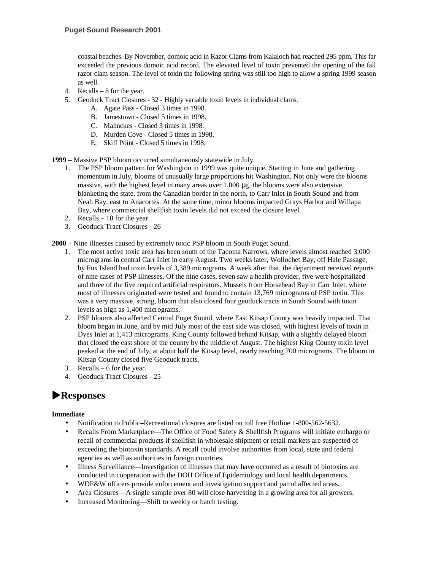coastal beaches. By November, domoic acid in Razor Clams from Kalaloch had reached 295 ppm. This far exceeded the previous domoic acid record. The elevated level of toxin prevented the opening of the fall razor clam season. The level of toxin the following spring was still too high to allow a spring 1999 season as well.

- 4. Recalls 8 for the year.
- 5. Geoduck Tract Closures 32 Highly variable toxin levels in individual clams.
	- A. Agate Pass Closed 3 times in 1998.
	- B. Jamestown Closed 5 times in 1998.
	- C. Mahnckes Closed 3 times in 1998.
	- D. Murden Cove Closed 5 times in 1998.
	- E. Skiff Point Closed 5 times in 1998.

**1999** – Massive PSP bloom occurred simultaneously statewide in July.

- 1. The PSP bloom pattern for Washington in 1999 was quite unique. Starting in June and gathering momentum in July, blooms of unusually large proportions hit Washington. Not only were the blooms massive, with the highest level in many areas over 1,000 µg, the blooms were also extensive, blanketing the state, from the Canadian border in the north, to Carr Inlet in South Sound and from Neah Bay, east to Anacortes. At the same time, minor blooms impacted Grays Harbor and Willapa Bay, where commercial shellfish toxin levels did not exceed the closure level.
- 2. Recalls 10 for the year.
- 3. Geoduck Tract Closures 26

**2000** – Nine illnesses caused by extremely toxic PSP bloom in South Puget Sound.

- 1. The most active toxic area has been south of the Tacoma Narrows, where levels almost reached 3,000 micrograms in central Carr Inlet in early August. Two weeks later, Wollochet Bay, off Hale Passage, by Fox Island had toxin levels of 3,389 micrograms. A week after that, the department received reports of nine cases of PSP illnesses. Of the nine cases, seven saw a health provider, five were hospitalized and three of the five required artificial respirators. Mussels from Horsehead Bay in Carr Inlet, where most of illnesses originated were tested and found to contain 13,769 micrograms of PSP toxin. This was a very massive, strong, bloom that also closed four geoduck tracts in South Sound with toxin levels as high as 1,400 micrograms.
- 2. PSP blooms also affected Central Puget Sound, where East Kitsap County was heavily impacted. That bloom began in June, and by mid July most of the east side was closed, with highest levels of toxin in Dyes Inlet at 1,413 micrograms. King County followed behind Kitsap, with a slightly delayed bloom that closed the east shore of the county by the middle of August. The highest King County toxin level peaked at the end of July, at about half the Kitsap level, nearly reaching 700 micrograms. The bloom in Kitsap County closed five Geoduck tracts.
- 3. Recalls 6 for the year.
- 4. Geoduck Tract Closures 25

# !**Responses**

### **Immediate**

- Notification to Public–Recreational closures are listed on toll free Hotline 1-800-562-5632.
- Recalls From Marketplace—The Office of Food Safety & Shellfish Programs will initiate embargo or recall of commercial products if shellfish in wholesale shipment or retail markets are suspected of exceeding the biotoxin standards. A recall could involve authorities from local, state and federal agencies as well as authorities in foreign countries.
- Illness Surveillance—Investigation of illnesses that may have occurred as a result of biotoxins are conducted in cooperation with the DOH Office of Epidemiology and local health departments.
- WDF&W officers provide enforcement and investigation support and patrol affected areas.
- Area Closures—A single sample over 80 will close harvesting in a growing area for all growers.
- Increased Monitoring—Shift to weekly or batch testing.